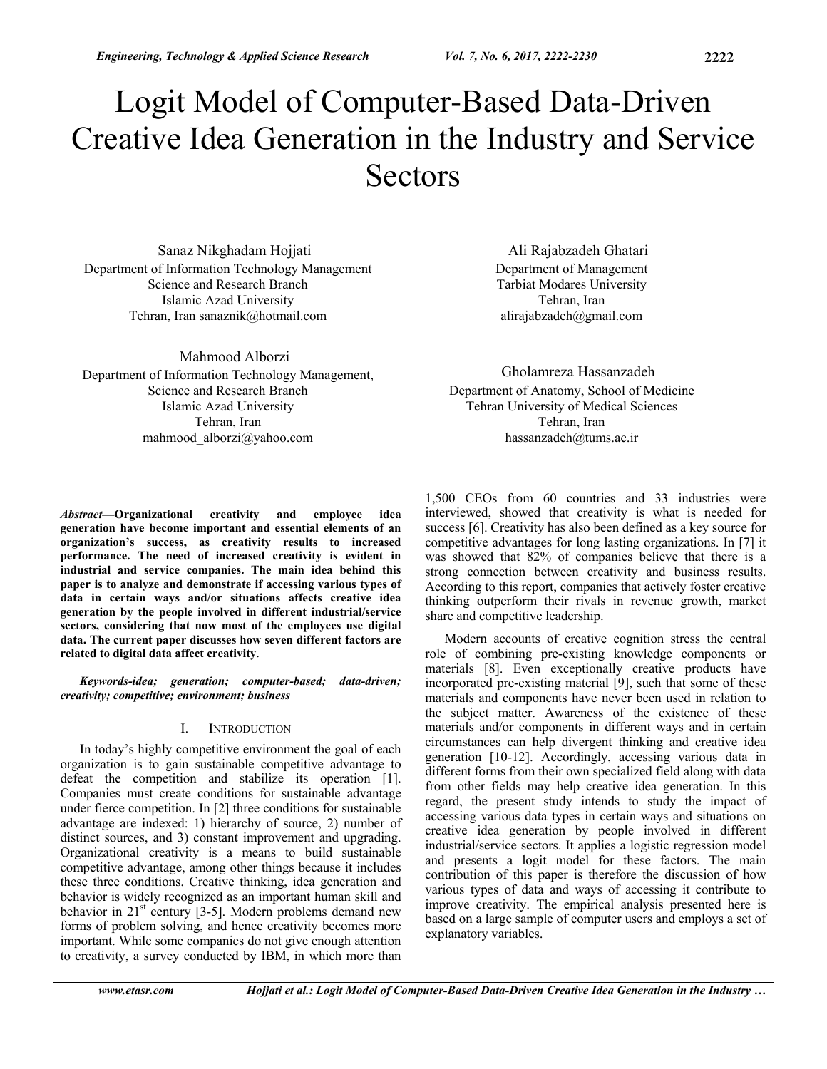Sanaz Nikghadam Hojjati Department of Information Technology Management Science and Research Branch Islamic Azad University Tehran, Iran sanaznik@hotmail.com

Mahmood Alborzi Department of Information Technology Management, Science and Research Branch Islamic Azad University Tehran, Iran mahmood\_alborzi@yahoo.com

*Abstract***—Organizational creativity and employee idea generation have become important and essential elements of an organization's success, as creativity results to increased performance. The need of increased creativity is evident in industrial and service companies. The main idea behind this paper is to analyze and demonstrate if accessing various types of data in certain ways and/or situations affects creative idea generation by the people involved in different industrial/service sectors, considering that now most of the employees use digital data. The current paper discusses how seven different factors are related to digital data affect creativity**.

*Keywords-idea; generation; computer-based; data-driven; creativity; competitive; environment; business* 

## I. INTRODUCTION

In today's highly competitive environment the goal of each organization is to gain sustainable competitive advantage to defeat the competition and stabilize its operation [1]. Companies must create conditions for sustainable advantage under fierce competition. In [2] three conditions for sustainable advantage are indexed: 1) hierarchy of source, 2) number of distinct sources, and 3) constant improvement and upgrading. Organizational creativity is a means to build sustainable competitive advantage, among other things because it includes these three conditions. Creative thinking, idea generation and behavior is widely recognized as an important human skill and behavior in  $21<sup>st</sup>$  century [3-5]. Modern problems demand new forms of problem solving, and hence creativity becomes more important. While some companies do not give enough attention to creativity, a survey conducted by IBM, in which more than

Ali Rajabzadeh Ghatari Department of Management Tarbiat Modares University Tehran, Iran alirajabzadeh@gmail.com

Gholamreza Hassanzadeh Department of Anatomy, School of Medicine Tehran University of Medical Sciences Tehran, Iran hassanzadeh@tums.ac.ir

1,500 CEOs from 60 countries and 33 industries were interviewed, showed that creativity is what is needed for success [6]. Creativity has also been defined as a key source for competitive advantages for long lasting organizations. In [7] it was showed that 82% of companies believe that there is a strong connection between creativity and business results. According to this report, companies that actively foster creative thinking outperform their rivals in revenue growth, market share and competitive leadership.

Modern accounts of creative cognition stress the central role of combining pre-existing knowledge components or materials [8]. Even exceptionally creative products have incorporated pre-existing material [9], such that some of these materials and components have never been used in relation to the subject matter. Awareness of the existence of these materials and/or components in different ways and in certain circumstances can help divergent thinking and creative idea generation [10-12]. Accordingly, accessing various data in different forms from their own specialized field along with data from other fields may help creative idea generation. In this regard, the present study intends to study the impact of accessing various data types in certain ways and situations on creative idea generation by people involved in different industrial/service sectors. It applies a logistic regression model and presents a logit model for these factors. The main contribution of this paper is therefore the discussion of how various types of data and ways of accessing it contribute to improve creativity. The empirical analysis presented here is based on a large sample of computer users and employs a set of explanatory variables.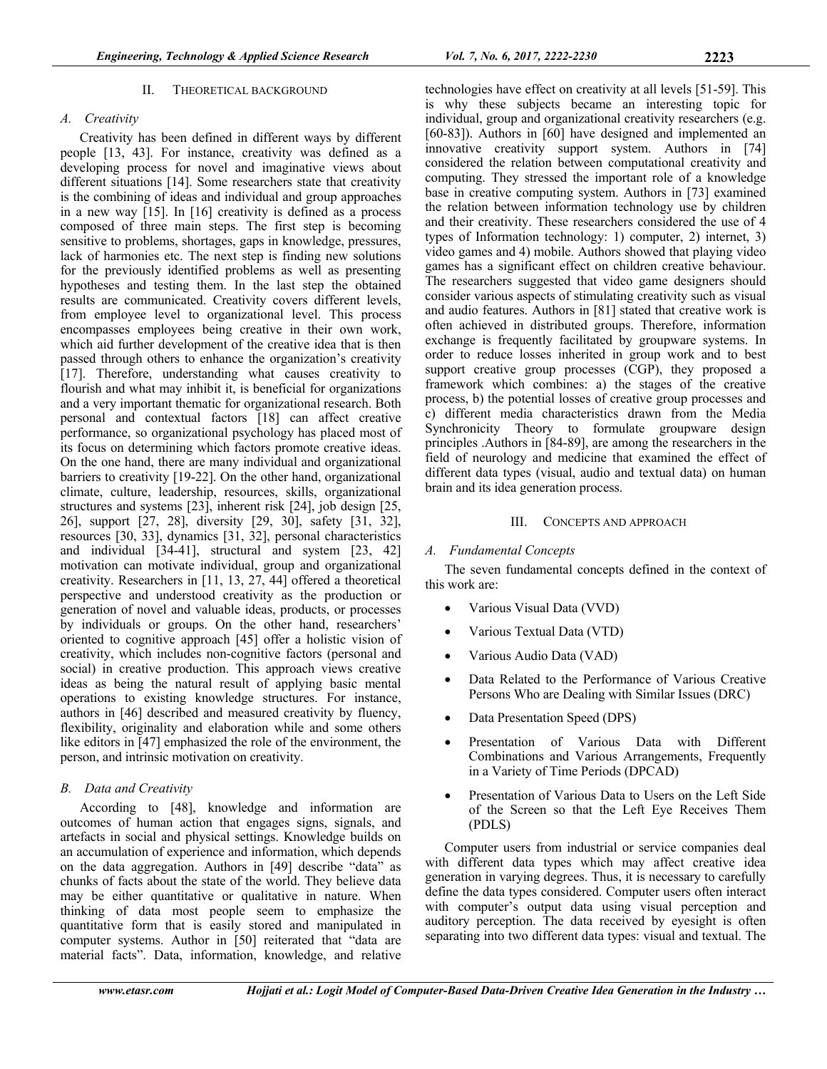### II. THEORETICAL BACKGROUND

### *A. Creativity*

Creativity has been defined in different ways by different people [13, 43]. For instance, creativity was defined as a developing process for novel and imaginative views about different situations [14]. Some researchers state that creativity is the combining of ideas and individual and group approaches in a new way [15]. In [16] creativity is defined as a process composed of three main steps. The first step is becoming sensitive to problems, shortages, gaps in knowledge, pressures, lack of harmonies etc. The next step is finding new solutions for the previously identified problems as well as presenting hypotheses and testing them. In the last step the obtained results are communicated. Creativity covers different levels, from employee level to organizational level. This process encompasses employees being creative in their own work, which aid further development of the creative idea that is then passed through others to enhance the organization's creativity [17]. Therefore, understanding what causes creativity to flourish and what may inhibit it, is beneficial for organizations and a very important thematic for organizational research. Both personal and contextual factors [18] can affect creative performance, so organizational psychology has placed most of its focus on determining which factors promote creative ideas. On the one hand, there are many individual and organizational barriers to creativity [19-22]. On the other hand, organizational climate, culture, leadership, resources, skills, organizational structures and systems [23], inherent risk [24], job design [25, 26], support [27, 28], diversity [29, 30], safety [31, 32], resources [30, 33], dynamics [31, 32], personal characteristics and individual [34-41], structural and system [23, 42] motivation can motivate individual, group and organizational creativity. Researchers in [11, 13, 27, 44] offered a theoretical perspective and understood creativity as the production or generation of novel and valuable ideas, products, or processes by individuals or groups. On the other hand, researchers' oriented to cognitive approach [45] offer a holistic vision of creativity, which includes non-cognitive factors (personal and social) in creative production. This approach views creative ideas as being the natural result of applying basic mental operations to existing knowledge structures. For instance, authors in [46] described and measured creativity by fluency, flexibility, originality and elaboration while and some others like editors in [47] emphasized the role of the environment, the person, and intrinsic motivation on creativity.

## *B. Data and Creativity*

According to [48], knowledge and information are outcomes of human action that engages signs, signals, and artefacts in social and physical settings. Knowledge builds on an accumulation of experience and information, which depends on the data aggregation. Authors in [49] describe "data" as chunks of facts about the state of the world. They believe data may be either quantitative or qualitative in nature. When thinking of data most people seem to emphasize the quantitative form that is easily stored and manipulated in computer systems. Author in [50] reiterated that "data are material facts". Data, information, knowledge, and relative

technologies have effect on creativity at all levels [51-59]. This is why these subjects became an interesting topic for individual, group and organizational creativity researchers (e.g. [60-83]). Authors in [60] have designed and implemented an innovative creativity support system. Authors in [74] considered the relation between computational creativity and computing. They stressed the important role of a knowledge base in creative computing system. Authors in [73] examined the relation between information technology use by children and their creativity. These researchers considered the use of 4 types of Information technology: 1) computer, 2) internet, 3) video games and 4) mobile. Authors showed that playing video games has a significant effect on children creative behaviour. The researchers suggested that video game designers should consider various aspects of stimulating creativity such as visual and audio features. Authors in [81] stated that creative work is often achieved in distributed groups. Therefore, information exchange is frequently facilitated by groupware systems. In order to reduce losses inherited in group work and to best support creative group processes (CGP), they proposed a framework which combines: a) the stages of the creative process, b) the potential losses of creative group processes and c) different media characteristics drawn from the Media Synchronicity Theory to formulate groupware design principles . Authors in [84-89], are among the researchers in the field of neurology and medicine that examined the effect of different data types (visual, audio and textual data) on human brain and its idea generation process.

#### III. CONCEPTS AND APPROACH

### *A. Fundamental Concepts*

The seven fundamental concepts defined in the context of this work are:

- Various Visual Data (VVD)
- Various Textual Data (VTD)
- Various Audio Data (VAD)
- Data Related to the Performance of Various Creative Persons Who are Dealing with Similar Issues (DRC)
- Data Presentation Speed (DPS)
- Presentation of Various Data with Different Combinations and Various Arrangements, Frequently in a Variety of Time Periods (DPCAD)
- Presentation of Various Data to Users on the Left Side of the Screen so that the Left Eye Receives Them (PDLS)

Computer users from industrial or service companies deal with different data types which may affect creative idea generation in varying degrees. Thus, it is necessary to carefully define the data types considered. Computer users often interact with computer's output data using visual perception and auditory perception. The data received by eyesight is often separating into two different data types: visual and textual. The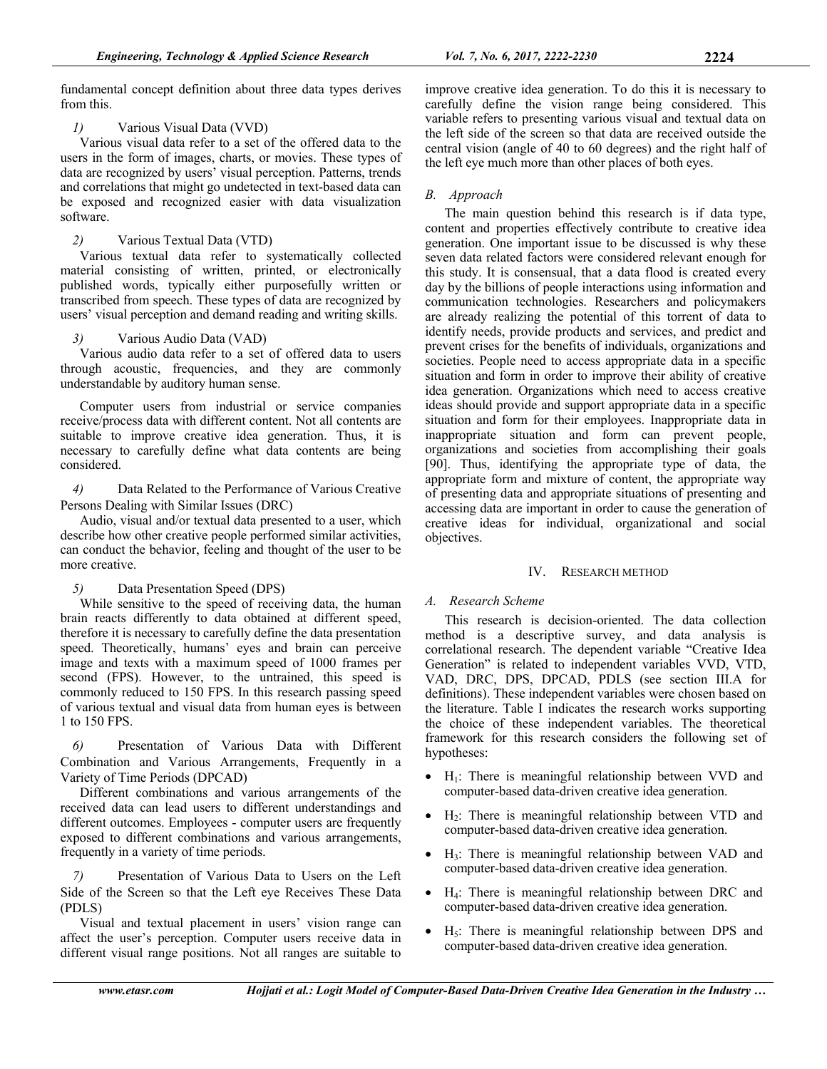fundamental concept definition about three data types derives from this.

*1)* Various Visual Data (VVD)

Various visual data refer to a set of the offered data to the users in the form of images, charts, or movies. These types of data are recognized by users' visual perception. Patterns, trends and correlations that might go undetected in text-based data can be exposed and recognized easier with data visualization software.

*2)* Various Textual Data (VTD)

Various textual data refer to systematically collected material consisting of written, printed, or electronically published words, typically either purposefully written or transcribed from speech. These types of data are recognized by users' visual perception and demand reading and writing skills.

## *3)* Various Audio Data (VAD)

Various audio data refer to a set of offered data to users through acoustic, frequencies, and they are commonly understandable by auditory human sense.

Computer users from industrial or service companies receive/process data with different content. Not all contents are suitable to improve creative idea generation. Thus, it is necessary to carefully define what data contents are being considered.

*4)* Data Related to the Performance of Various Creative Persons Dealing with Similar Issues (DRC)

Audio, visual and/or textual data presented to a user, which describe how other creative people performed similar activities, can conduct the behavior, feeling and thought of the user to be more creative.

*5)* Data Presentation Speed (DPS)

While sensitive to the speed of receiving data, the human brain reacts differently to data obtained at different speed, therefore it is necessary to carefully define the data presentation speed. Theoretically, humans' eyes and brain can perceive image and texts with a maximum speed of 1000 frames per second (FPS). However, to the untrained, this speed is commonly reduced to 150 FPS. In this research passing speed of various textual and visual data from human eyes is between 1 to 150 FPS.

*6)* Presentation of Various Data with Different Combination and Various Arrangements, Frequently in a Variety of Time Periods (DPCAD)

Different combinations and various arrangements of the received data can lead users to different understandings and different outcomes. Employees - computer users are frequently exposed to different combinations and various arrangements, frequently in a variety of time periods.

*7)* Presentation of Various Data to Users on the Left Side of the Screen so that the Left eye Receives These Data (PDLS)

Visual and textual placement in users' vision range can affect the user's perception. Computer users receive data in different visual range positions. Not all ranges are suitable to

improve creative idea generation. To do this it is necessary to carefully define the vision range being considered. This variable refers to presenting various visual and textual data on the left side of the screen so that data are received outside the central vision (angle of 40 to 60 degrees) and the right half of the left eye much more than other places of both eyes.

# *B. Approach*

The main question behind this research is if data type, content and properties effectively contribute to creative idea generation. One important issue to be discussed is why these seven data related factors were considered relevant enough for this study. It is consensual, that a data flood is created every day by the billions of people interactions using information and communication technologies. Researchers and policymakers are already realizing the potential of this torrent of data to identify needs, provide products and services, and predict and prevent crises for the benefits of individuals, organizations and societies. People need to access appropriate data in a specific situation and form in order to improve their ability of creative idea generation. Organizations which need to access creative ideas should provide and support appropriate data in a specific situation and form for their employees. Inappropriate data in inappropriate situation and form can prevent people, organizations and societies from accomplishing their goals [90]. Thus, identifying the appropriate type of data, the appropriate form and mixture of content, the appropriate way of presenting data and appropriate situations of presenting and accessing data are important in order to cause the generation of creative ideas for individual, organizational and social objectives.

## IV. RESEARCH METHOD

# *A. Research Scheme*

This research is decision-oriented. The data collection method is a descriptive survey, and data analysis is correlational research. The dependent variable "Creative Idea Generation" is related to independent variables VVD, VTD, VAD, DRC, DPS, DPCAD, PDLS (see section III.A for definitions). These independent variables were chosen based on the literature. Table I indicates the research works supporting the choice of these independent variables. The theoretical framework for this research considers the following set of hypotheses:

- $\bullet$  H<sub>1</sub>: There is meaningful relationship between VVD and computer-based data-driven creative idea generation.
- H2: There is meaningful relationship between VTD and computer-based data-driven creative idea generation.
- H3: There is meaningful relationship between VAD and computer-based data-driven creative idea generation.
- H<sub>4</sub>: There is meaningful relationship between DRC and computer-based data-driven creative idea generation.
- H5: There is meaningful relationship between DPS and computer-based data-driven creative idea generation.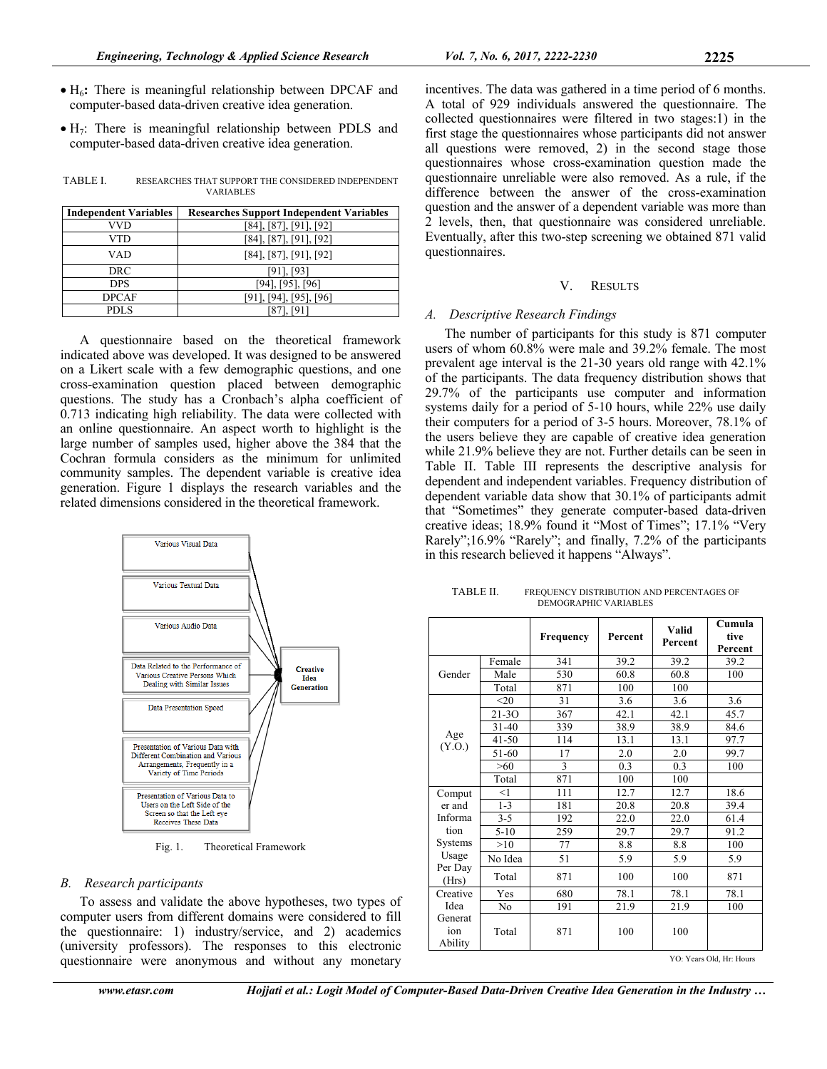- H6**:** There is meaningful relationship between DPCAF and computer-based data-driven creative idea generation.
- $\bullet$  H<sub>7</sub>: There is meaningful relationship between PDLS and computer-based data-driven creative idea generation.

| TABLE I. | RESEARCHES THAT SUPPORT THE CONSIDERED INDEPENDENT |
|----------|----------------------------------------------------|
|          | <b>VARIABLES</b>                                   |

| <b>Independent Variables</b> | <b>Researches Support Independent Variables</b> |
|------------------------------|-------------------------------------------------|
| VVD                          | [84], [87], [91], [92]                          |
| VTD                          | [84], [87], [91], [92]                          |
| VAD                          | [84], [87], [91], [92]                          |
| DRC                          | [91], [93]                                      |
| <b>DPS</b>                   | [941, [951, [961                                |
| <b>DPCAF</b>                 | [91], [94], [95], [96]                          |
| PDLS                         |                                                 |

A questionnaire based on the theoretical framework indicated above was developed. It was designed to be answered on a Likert scale with a few demographic questions, and one cross-examination question placed between demographic questions. The study has a Cronbach's alpha coefficient of 0.713 indicating high reliability. The data were collected with an online questionnaire. An aspect worth to highlight is the large number of samples used, higher above the 384 that the Cochran formula considers as the minimum for unlimited community samples. The dependent variable is creative idea generation. Figure 1 displays the research variables and the related dimensions considered in the theoretical framework.



Fig. 1. Theoretical Framework

## *B. Research participants*

To assess and validate the above hypotheses, two types of computer users from different domains were considered to fill the questionnaire: 1) industry/service, and 2) academics (university professors). The responses to this electronic questionnaire were anonymous and without any monetary

incentives. The data was gathered in a time period of 6 months. A total of 929 individuals answered the questionnaire. The collected questionnaires were filtered in two stages:1) in the first stage the questionnaires whose participants did not answer all questions were removed, 2) in the second stage those questionnaires whose cross-examination question made the questionnaire unreliable were also removed. As a rule, if the difference between the answer of the cross-examination question and the answer of a dependent variable was more than 2 levels, then, that questionnaire was considered unreliable. Eventually, after this two-step screening we obtained 871 valid questionnaires.

## V. RESULTS

## *A. Descriptive Research Findings*

The number of participants for this study is 871 computer users of whom 60.8% were male and 39.2% female. The most prevalent age interval is the 21-30 years old range with 42.1% of the participants. The data frequency distribution shows that 29.7% of the participants use computer and information systems daily for a period of 5-10 hours, while 22% use daily their computers for a period of 3-5 hours. Moreover, 78.1% of the users believe they are capable of creative idea generation while 21.9% believe they are not. Further details can be seen in Table II. Table III represents the descriptive analysis for dependent and independent variables. Frequency distribution of dependent variable data show that 30.1% of participants admit that "Sometimes" they generate computer-based data-driven creative ideas; 18.9% found it "Most of Times"; 17.1% "Very Rarely";16.9% "Rarely"; and finally, 7.2% of the participants in this research believed it happens "Always".

TABLE II. FREQUENCY DISTRIBUTION AND PERCENTAGES OF DEMOGRAPHIC VARIABLES

|                           |           | Frequency | Percent | Valid<br>Percent | Cumula<br>tive<br>Percent |
|---------------------------|-----------|-----------|---------|------------------|---------------------------|
|                           | Female    | 341       | 39.2    | 39.2             | 39.2                      |
| Gender                    | Male      | 530       | 60.8    | 60.8             | 100                       |
|                           | Total     | 871       | 100     | 100              |                           |
|                           | $<$ 20    | 31        | 3.6     | 3.6              | 3.6                       |
|                           | 21-3O     | 367       | 42.1    | 42.1             | 45.7                      |
|                           | $31 - 40$ | 339       | 38.9    | 38.9             | 84.6                      |
| Age<br>(Y.O.)             | $41 - 50$ | 114       | 13.1    | 13.1             | 97.7                      |
|                           | 51-60     | 17        | 2.0     | 2.0              | 99.7                      |
|                           | >60       | 3         | 0.3     | 0.3              | 100                       |
|                           | Total     | 871       | 100     | 100              |                           |
| Comput                    | $<$ 1     | 111       | 12.7    | 12.7             | 18.6                      |
| er and                    | $1 - 3$   | 181       | 20.8    | 20.8             | 39.4                      |
| Informa                   | $3 - 5$   | 192       | 22.0    | 22.0             | 61.4                      |
| tion                      | $5 - 10$  | 259       | 29.7    | 29.7             | 91.2                      |
| Systems                   | >10       | 77        | 8.8     | 8.8              | 100                       |
| Usage                     | No Idea   | 51        | 5.9     | 5.9              | 5.9                       |
| Per Day<br>(Hrs)          | Total     | 871       | 100     | 100              | 871                       |
| Creative                  | Yes       | 680       | 78.1    | 78.1             | 78.1                      |
| Idea                      | No        | 191       | 21.9    | 21.9             | 100                       |
| Generat<br>ion<br>Ability | Total     | 871       | 100     | 100              |                           |
|                           |           |           |         |                  | YO: Years Old. Hr: Hours  |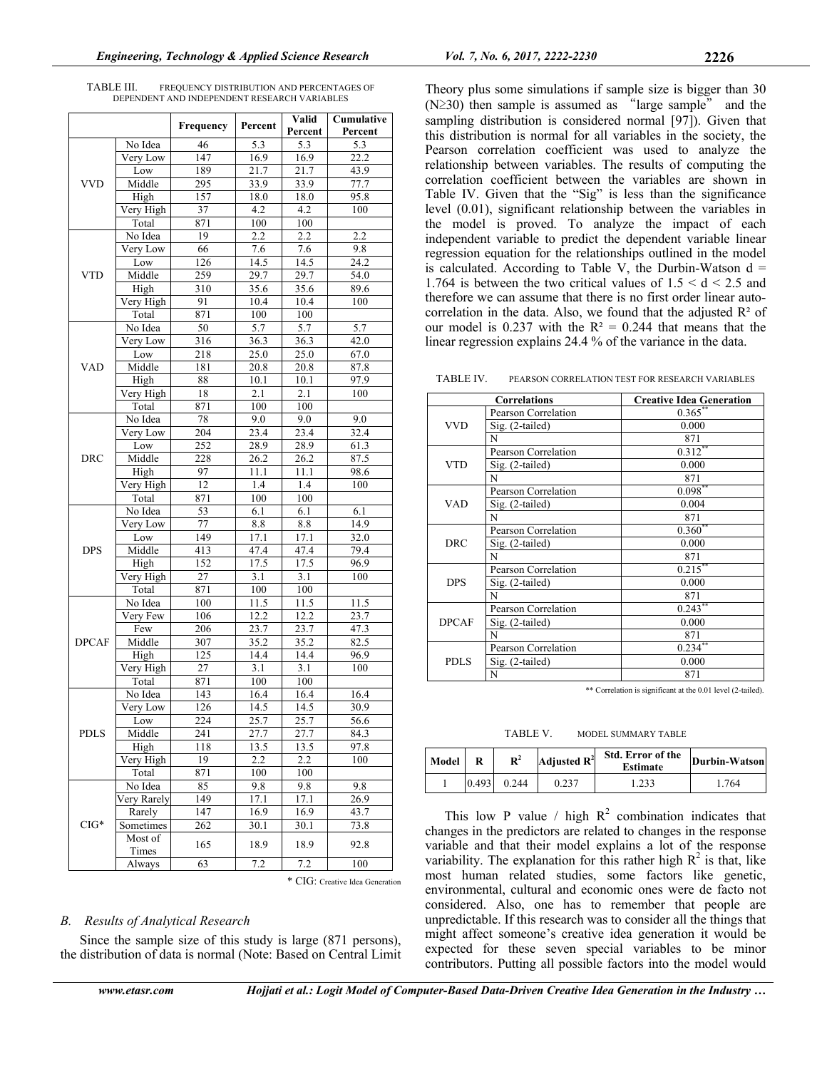| TABLE III. | FREQUENCY DISTRIBUTION AND PERCENTAGES OF    |  |
|------------|----------------------------------------------|--|
|            | DEPENDENT AND INDEPENDENT RESEARCH VARIABLES |  |

|              |                   | Frequency  | Percent                 | Valid      | Cumulative        |  |
|--------------|-------------------|------------|-------------------------|------------|-------------------|--|
|              |                   |            |                         | Percent    | Percent           |  |
|              | No Idea           | 46         | 5.3                     | 5.3        | 5.3               |  |
|              | Very Low          | 147        | 16.9                    | 16.9       | $\overline{22.2}$ |  |
|              | Low               | 189        | 21.7                    | 21.7       | 43.9              |  |
| <b>VVD</b>   | Middle            | 295        | 33.9                    | 33.9       | 77.7              |  |
|              | High              | 157        | 18.0                    | 18.0       | 95.8              |  |
|              | Very High         | 37         | 4.2                     | 4.2        | 100               |  |
|              | Total             | 871        | 100                     | 100        |                   |  |
|              | No Idea           | 19         | 2.2                     | 2.2        | 2.2               |  |
|              | Very Low          | 66         | 7.6                     | 7.6        | 9.8               |  |
|              | Low               | 126        | 14.5                    | 14.5       | 24.2              |  |
| <b>VTD</b>   | Middle            | 259        | 29.7                    | 29.7       | 54.0              |  |
|              | High              | 310        | 35.6                    | 35.6       | 89.6              |  |
|              | Very High         | 91         | 10.4                    | 10.4       | 100               |  |
|              | Total             | 871        | 100                     | 100        |                   |  |
|              | No Idea           | 50         | 5.7                     | 5.7        | 5.7               |  |
|              | Very Low          | 316        | 36.3                    | 36.3       | 42.0              |  |
|              | Low               | 218        | 25.0                    | 25.0       | 67.0              |  |
| <b>VAD</b>   | Middle            | 181        | $20.\overline{8}$       | 20.8       | 87.8              |  |
|              | High              | 88         | 10.1                    | 10.1       | 97.9              |  |
|              | Very High         | 18         | 2.1                     | 2.1        | 100               |  |
|              | Total             | 871        | 100                     | 100        |                   |  |
|              | No Idea           | 78         | 9.0                     | 9.0        | 9.0               |  |
|              | Very Low          | 204        | 23.4                    | 23.4       | 32.4              |  |
|              | Low               | 252        | 28.9                    | 28.9       | 61.3              |  |
| <b>DRC</b>   | Middle            | 228        | 26.2                    | 26.2       | 87.5              |  |
|              | High              | 97         | 11.1                    | 11.1       | 98.6              |  |
|              | Very High         | 12         | 1.4                     | 1.4        | 100               |  |
|              | Total             | 871        | 100                     | 100        |                   |  |
|              | No Idea           | 53         | 6.1                     | 6.1        | 6.1               |  |
|              | Very Low          | 77         | 8.8                     | 8.8        | 14.9              |  |
|              | Low               | 149        | 17.1                    | 17.1       | 32.0              |  |
| <b>DPS</b>   | Middle            | 413        | 47.4                    | 47.4       | 79.4              |  |
|              | High              | 152        | 17.5                    | 17.5       | 96.9              |  |
|              | Very High         | 27         | 3.1                     | 3.1        | 100               |  |
|              | Total             | 871        | 100                     | 100        |                   |  |
|              | No Idea           | 100        | 11.5                    | 11.5       |                   |  |
|              | Very Few          | 106        | 12.2                    | 12.2       | 11.5<br>23.7      |  |
|              | Few               | 206        | 23.7                    | 23.7       |                   |  |
|              | Middle            |            |                         |            | 47.3              |  |
| <b>DPCAF</b> |                   | 307<br>125 | 35.2                    | 35.2       | 82.5<br>96.9      |  |
|              | High<br>Very High |            | 14.4                    | 14.4       |                   |  |
|              |                   | 27         | $\overline{3.1}$<br>100 | 3.1<br>100 | 100               |  |
|              | Total             | 871        |                         |            |                   |  |
|              | No Idea           | 143        | 16.4                    | 16.4       | 16.4              |  |
|              | Very Low          | 126        | 14.5                    | 14.5       | 30.9              |  |
|              | Low               | 224        | 25.7                    | 25.7       | 56.6              |  |
| PDLS         | Middle            | 241        | 27.7                    | 27.7       | 84.3              |  |
|              | High              | 118        | 13.5                    | 13.5       | 97.8              |  |
|              | Very High         | 19         | 2.2                     | 2.2        | 100               |  |
|              | Total             | 871        | 100                     | 100        |                   |  |
|              | No Idea           | 85         | 9.8                     | 9.8        | 9.8               |  |
|              | Very Rarely       | 149        | 17.1                    | 17.1       | 26.9              |  |
|              | Rarely            | 147        | 16.9                    | 16.9       | 43.7              |  |
| $CIG^*$      | Sometimes         | 262        | 30.1                    | 30.1       | 73.8              |  |
|              | Most of           | 165        | 18.9                    | 18.9       | 92.8              |  |
|              | Times             |            |                         |            |                   |  |
|              | Always            | 63         | 7.2                     | 7.2        | 100               |  |

\* CIG: Creative Idea Generation

#### *B. Results of Analytical Research*

Since the sample size of this study is large (871 persons), the distribution of data is normal (Note: Based on Central Limit Theory plus some simulations if sample size is bigger than 30  $(N \ge 30)$  then sample is assumed as "large sample" and the sampling distribution is considered normal [97]). Given that this distribution is normal for all variables in the society, the Pearson correlation coefficient was used to analyze the relationship between variables. The results of computing the correlation coefficient between the variables are shown in Table IV. Given that the "Sig" is less than the significance level (0.01), significant relationship between the variables in the model is proved. To analyze the impact of each independent variable to predict the dependent variable linear regression equation for the relationships outlined in the model is calculated. According to Table V, the Durbin-Watson  $d =$ 1.764 is between the two critical values of  $1.5 < d < 2.5$  and therefore we can assume that there is no first order linear autocorrelation in the data. Also, we found that the adjusted  $\mathbb{R}^2$  of our model is 0.237 with the  $R^2 = 0.244$  that means that the linear regression explains 24.4 % of the variance in the data.

TABLE IV. PEARSON CORRELATION TEST FOR RESEARCH VARIABLES

| <b>Correlations</b> |                     | <b>Creative Idea Generation</b> |  |  |
|---------------------|---------------------|---------------------------------|--|--|
|                     | Pearson Correlation | $0.365$ *                       |  |  |
| <b>VVD</b>          | Sig. (2-tailed)     | 0.000                           |  |  |
|                     | N                   | 871                             |  |  |
|                     | Pearson Correlation | $0.312**$                       |  |  |
| <b>VTD</b>          | Sig. (2-tailed)     | 0.000                           |  |  |
|                     | N                   | 871                             |  |  |
|                     | Pearson Correlation | $0.098***$                      |  |  |
| <b>VAD</b>          | Sig. (2-tailed)     | 0.004                           |  |  |
|                     | N                   | 871                             |  |  |
|                     | Pearson Correlation | $0.360**$                       |  |  |
| <b>DRC</b>          | Sig. (2-tailed)     | 0.000                           |  |  |
|                     | N                   | 871                             |  |  |
|                     | Pearson Correlation | $0.215***$                      |  |  |
| <b>DPS</b>          | $Sig.$ (2-tailed)   | 0.000                           |  |  |
|                     | N                   | 871                             |  |  |
|                     | Pearson Correlation | $0.243***$                      |  |  |
| <b>DPCAF</b>        | Sig. (2-tailed)     | 0.000                           |  |  |
|                     | N                   | 871                             |  |  |
|                     | Pearson Correlation | $0.234***$                      |  |  |
| PDLS                | Sig. (2-tailed)     | 0.000                           |  |  |
|                     | N                   | 871                             |  |  |

\*\* Correlation is significant at the 0.01 level (2-tailed).

TABLE V. MODEL SUMMARY TABLE

| Model |       | $\mathbf{R}^2$ | Adjusted $\mathbb{R}^2$ | Std. Error of the<br><b>Estimate</b> | Durbin-Watson |
|-------|-------|----------------|-------------------------|--------------------------------------|---------------|
|       | 0.493 | 0.244          | 0.237                   |                                      | 764           |

This low P value / high  $R^2$  combination indicates that changes in the predictors are related to changes in the response variable and that their model explains a lot of the response variability. The explanation for this rather high  $R^2$  is that, like most human related studies, some factors like genetic, environmental, cultural and economic ones were de facto not considered. Also, one has to remember that people are unpredictable. If this research was to consider all the things that might affect someone's creative idea generation it would be expected for these seven special variables to be minor contributors. Putting all possible factors into the model would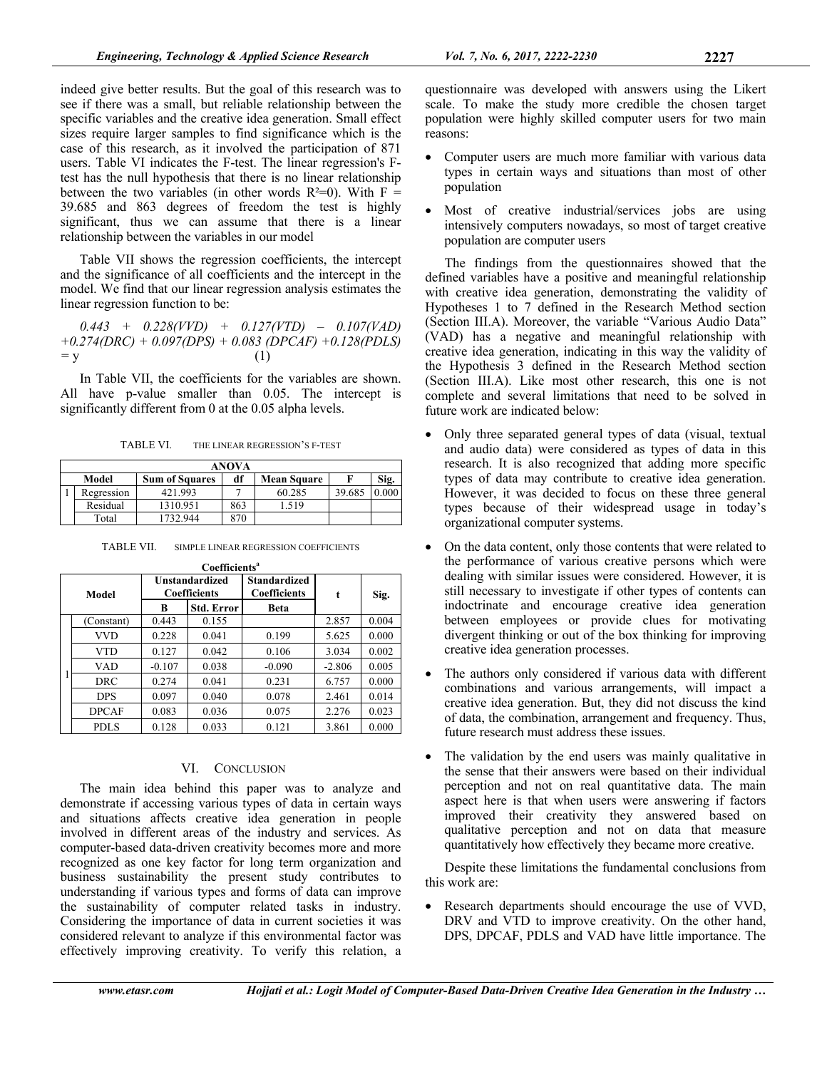indeed give better results. But the goal of this research was to see if there was a small, but reliable relationship between the specific variables and the creative idea generation. Small effect sizes require larger samples to find significance which is the case of this research, as it involved the participation of 871 users. Table VI indicates the F-test. The linear regression's Ftest has the null hypothesis that there is no linear relationship between the two variables (in other words  $R^2=0$ ). With F = 39.685 and 863 degrees of freedom the test is highly significant, thus we can assume that there is a linear relationship between the variables in our model

Table VII shows the regression coefficients, the intercept and the significance of all coefficients and the intercept in the model. We find that our linear regression analysis estimates the linear regression function to be:

*0.443 + 0.228(VVD) + 0.127(VTD) – 0.107(VAD) +0.274(DRC) + 0.097(DPS) + 0.083 (DPCAF) +0.128(PDLS) =* y (1)

In Table VII, the coefficients for the variables are shown. All have p-value smaller than 0.05. The intercept is significantly different from 0 at the 0.05 alpha levels.

TABLE VI. THE LINEAR REGRESSION'S F-TEST

| ANOVA |                                                                    |          |     |        |        |  |  |  |
|-------|--------------------------------------------------------------------|----------|-----|--------|--------|--|--|--|
|       | Sig.<br>Model<br><b>Sum of Squares</b><br>df<br><b>Mean Square</b> |          |     |        |        |  |  |  |
|       | Regression                                                         | 421.993  |     | 60.285 | 39.685 |  |  |  |
|       | Residual                                                           | 1310.951 | 863 | .519   |        |  |  |  |
|       | Total                                                              | 732.944  | 870 |        |        |  |  |  |

TABLE VII. SIMPLE LINEAR REGRESSION COEFFICIENTS

|       | Coefficients <sup>a</sup> |                                              |                   |                                            |          |       |  |  |
|-------|---------------------------|----------------------------------------------|-------------------|--------------------------------------------|----------|-------|--|--|
| Model |                           | <b>Unstandardized</b><br><b>Coefficients</b> |                   | <b>Standardized</b><br><b>Coefficients</b> | t        | Sig.  |  |  |
|       |                           | B                                            | <b>Std. Error</b> | <b>Beta</b>                                |          |       |  |  |
|       | (Constant)                | 0.443                                        | 0.155             |                                            | 2.857    | 0.004 |  |  |
|       | <b>VVD</b>                | 0.228                                        | 0.041             | 0.199                                      | 5.625    | 0.000 |  |  |
|       | <b>VTD</b>                | 0.127                                        | 0.042             | 0.106                                      | 3.034    | 0.002 |  |  |
|       | VAD                       | $-0.107$                                     | 0.038             | $-0.090$                                   | $-2.806$ | 0.005 |  |  |
|       | <b>DRC</b>                | 0.274                                        | 0.041             | 0.231                                      | 6.757    | 0.000 |  |  |
|       | <b>DPS</b>                | 0.097                                        | 0.040             | 0.078                                      | 2.461    | 0.014 |  |  |
|       | <b>DPCAF</b>              | 0.083                                        | 0.036             | 0.075                                      | 2.276    | 0.023 |  |  |
|       | PDLS                      | 0.128                                        | 0.033             | 0.121                                      | 3.861    | 0.000 |  |  |

## VI. CONCLUSION

The main idea behind this paper was to analyze and demonstrate if accessing various types of data in certain ways and situations affects creative idea generation in people involved in different areas of the industry and services. As computer-based data-driven creativity becomes more and more recognized as one key factor for long term organization and business sustainability the present study contributes to understanding if various types and forms of data can improve the sustainability of computer related tasks in industry. Considering the importance of data in current societies it was considered relevant to analyze if this environmental factor was effectively improving creativity. To verify this relation, a

questionnaire was developed with answers using the Likert scale. To make the study more credible the chosen target population were highly skilled computer users for two main reasons:

- Computer users are much more familiar with various data types in certain ways and situations than most of other population
- Most of creative industrial/services jobs are using intensively computers nowadays, so most of target creative population are computer users

The findings from the questionnaires showed that the defined variables have a positive and meaningful relationship with creative idea generation, demonstrating the validity of Hypotheses 1 to 7 defined in the Research Method section (Section III.A). Moreover, the variable "Various Audio Data" (VAD) has a negative and meaningful relationship with creative idea generation, indicating in this way the validity of the Hypothesis 3 defined in the Research Method section (Section III.A). Like most other research, this one is not complete and several limitations that need to be solved in future work are indicated below:

- Only three separated general types of data (visual, textual and audio data) were considered as types of data in this research. It is also recognized that adding more specific types of data may contribute to creative idea generation. However, it was decided to focus on these three general types because of their widespread usage in today's organizational computer systems.
- On the data content, only those contents that were related to the performance of various creative persons which were dealing with similar issues were considered. However, it is still necessary to investigate if other types of contents can indoctrinate and encourage creative idea generation between employees or provide clues for motivating divergent thinking or out of the box thinking for improving creative idea generation processes.
- The authors only considered if various data with different combinations and various arrangements, will impact a creative idea generation. But, they did not discuss the kind of data, the combination, arrangement and frequency. Thus, future research must address these issues.
- The validation by the end users was mainly qualitative in the sense that their answers were based on their individual perception and not on real quantitative data. The main aspect here is that when users were answering if factors improved their creativity they answered based on qualitative perception and not on data that measure quantitatively how effectively they became more creative.

Despite these limitations the fundamental conclusions from this work are:

 Research departments should encourage the use of VVD, DRV and VTD to improve creativity. On the other hand, DPS, DPCAF, PDLS and VAD have little importance. The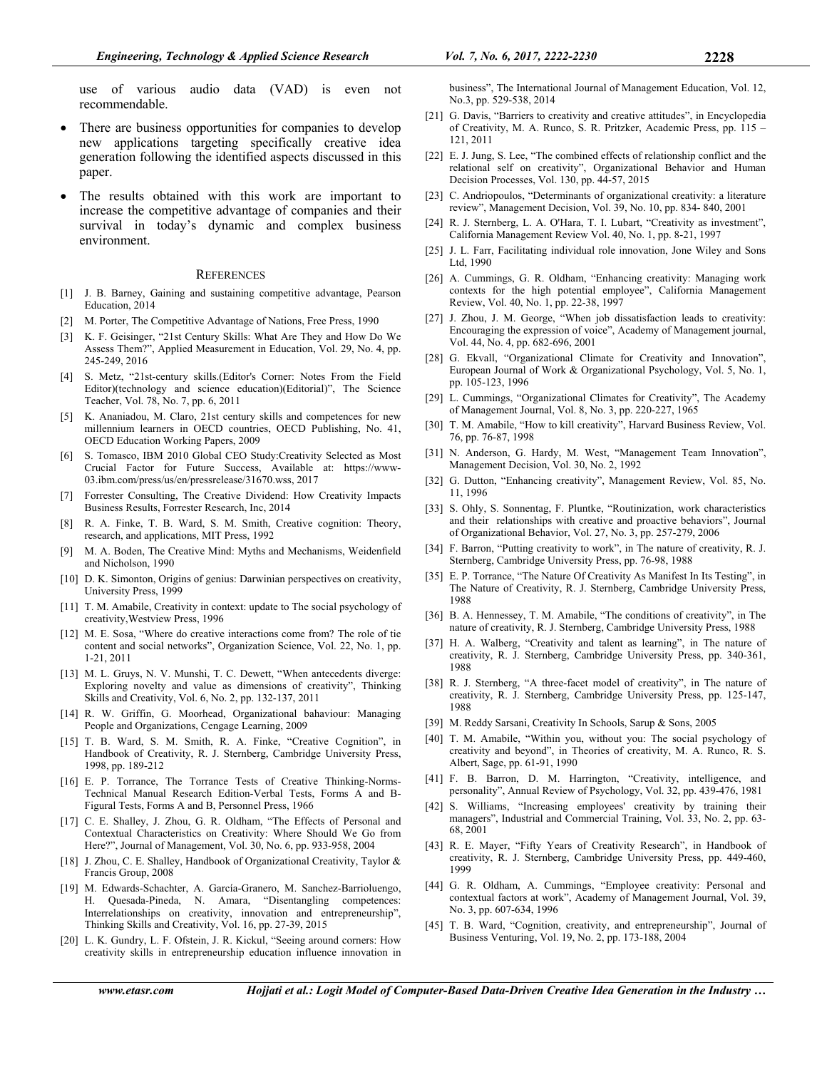use of various audio data (VAD) is even not recommendable.

- There are business opportunities for companies to develop new applications targeting specifically creative idea generation following the identified aspects discussed in this paper.
- The results obtained with this work are important to increase the competitive advantage of companies and their survival in today's dynamic and complex business environment.

#### **REFERENCES**

- [1] J. B. Barney, Gaining and sustaining competitive advantage, Pearson Education, 2014
- [2] M. Porter, The Competitive Advantage of Nations, Free Press, 1990
- [3] K. F. Geisinger, "21st Century Skills: What Are They and How Do We Assess Them?", Applied Measurement in Education, Vol. 29, No. 4, pp. 245-249, 2016
- [4] S. Metz, "21st-century skills.(Editor's Corner: Notes From the Field Editor)(technology and science education)(Editorial)", The Science Teacher, Vol. 78, No. 7, pp. 6, 2011
- [5] K. Ananiadou, M. Claro, 21st century skills and competences for new millennium learners in OECD countries, OECD Publishing, No. 41, OECD Education Working Papers, 2009
- [6] S. Tomasco, IBM 2010 Global CEO Study:Creativity Selected as Most Crucial Factor for Future Success, Available at: https://www-03.ibm.com/press/us/en/pressrelease/31670.wss, 2017
- [7] Forrester Consulting, The Creative Dividend: How Creativity Impacts Business Results, Forrester Research, Inc, 2014
- [8] R. A. Finke, T. B. Ward, S. M. Smith, Creative cognition: Theory, research, and applications, MIT Press, 1992
- [9] M. A. Boden, The Creative Mind: Myths and Mechanisms, Weidenfield and Nicholson, 1990
- [10] D. K. Simonton, Origins of genius: Darwinian perspectives on creativity, University Press, 1999
- [11] T. M. Amabile, Creativity in context: update to The social psychology of creativity,Westview Press, 1996
- [12] M. E. Sosa, "Where do creative interactions come from? The role of tie content and social networks", Organization Science, Vol. 22, No. 1, pp. 1-21, 2011
- [13] M. L. Gruys, N. V. Munshi, T. C. Dewett, "When antecedents diverge: Exploring novelty and value as dimensions of creativity", Thinking Skills and Creativity, Vol. 6, No. 2, pp. 132-137, 2011
- [14] R. W. Griffin, G. Moorhead, Organizational bahaviour: Managing People and Organizations, Cengage Learning, 2009
- [15] T. B. Ward, S. M. Smith, R. A. Finke, "Creative Cognition", in Handbook of Creativity, R. J. Sternberg, Cambridge University Press, 1998, pp. 189-212
- [16] E. P. Torrance, The Torrance Tests of Creative Thinking-Norms-Technical Manual Research Edition-Verbal Tests, Forms A and B-Figural Tests, Forms A and B, Personnel Press, 1966
- [17] C. E. Shalley, J. Zhou, G. R. Oldham, "The Effects of Personal and Contextual Characteristics on Creativity: Where Should We Go from Here?", Journal of Management, Vol. 30, No. 6, pp. 933-958, 2004
- [18] J. Zhou, C. E. Shalley, Handbook of Organizational Creativity, Taylor & Francis Group, 2008
- [19] M. Edwards-Schachter, A. García-Granero, M. Sanchez-Barrioluengo, H. Quesada-Pineda, N. Amara, "Disentangling competences: Interrelationships on creativity, innovation and entrepreneurship", Thinking Skills and Creativity, Vol. 16, pp. 27-39, 2015
- [20] L. K. Gundry, L. F. Ofstein, J. R. Kickul, "Seeing around corners: How creativity skills in entrepreneurship education influence innovation in

business", The International Journal of Management Education, Vol. 12, No.3, pp. 529-538, 2014

- [21] G. Davis, "Barriers to creativity and creative attitudes", in Encyclopedia of Creativity, M. A. Runco, S. R. Pritzker, Academic Press, pp. 115 – 121, 2011
- [22] E. J. Jung, S. Lee, "The combined effects of relationship conflict and the relational self on creativity", Organizational Behavior and Human Decision Processes, Vol. 130, pp. 44-57, 2015
- [23] C. Andriopoulos, "Determinants of organizational creativity: a literature review", Management Decision, Vol. 39, No. 10, pp. 834- 840, 2001
- [24] R. J. Sternberg, L. A. O'Hara, T. I. Lubart, "Creativity as investment", California Management Review Vol. 40, No. 1, pp. 8-21, 1997
- [25] J. L. Farr, Facilitating individual role innovation, Jone Wiley and Sons Ltd, 1990
- [26] A. Cummings, G. R. Oldham, "Enhancing creativity: Managing work contexts for the high potential employee", California Management Review, Vol. 40, No. 1, pp. 22-38, 1997
- [27] J. Zhou, J. M. George, "When job dissatisfaction leads to creativity: Encouraging the expression of voice", Academy of Management journal, Vol. 44, No. 4, pp. 682-696, 2001
- [28] G. Ekvall, "Organizational Climate for Creativity and Innovation", European Journal of Work & Organizational Psychology, Vol. 5, No. 1, pp. 105-123, 1996
- [29] L. Cummings, "Organizational Climates for Creativity", The Academy of Management Journal, Vol. 8, No. 3, pp. 220-227, 1965
- [30] T. M. Amabile, "How to kill creativity", Harvard Business Review, Vol. 76, pp. 76-87, 1998
- [31] N. Anderson, G. Hardy, M. West, "Management Team Innovation", Management Decision, Vol. 30, No. 2, 1992
- [32] G. Dutton, "Enhancing creativity", Management Review, Vol. 85, No. 11, 1996
- [33] S. Ohly, S. Sonnentag, F. Pluntke, "Routinization, work characteristics and their relationships with creative and proactive behaviors", Journal of Organizational Behavior, Vol. 27, No. 3, pp. 257-279, 2006
- [34] F. Barron, "Putting creativity to work", in The nature of creativity, R. J. Sternberg, Cambridge University Press, pp. 76-98, 1988
- [35] E. P. Torrance, "The Nature Of Creativity As Manifest In Its Testing", in The Nature of Creativity, R. J. Sternberg, Cambridge University Press, 1988
- [36] B. A. Hennessey, T. M. Amabile, "The conditions of creativity", in The nature of creativity, R. J. Sternberg, Cambridge University Press, 1988
- [37] H. A. Walberg, "Creativity and talent as learning", in The nature of creativity, R. J. Sternberg, Cambridge University Press, pp. 340-361, 1988
- [38] R. J. Sternberg, "A three-facet model of creativity", in The nature of creativity, R. J. Sternberg, Cambridge University Press, pp. 125-147, 1988
- [39] M. Reddy Sarsani, Creativity In Schools, Sarup & Sons, 2005
- [40] T. M. Amabile, "Within you, without you: The social psychology of creativity and beyond", in Theories of creativity, M. A. Runco, R. S. Albert, Sage, pp. 61-91, 1990
- [41] F. B. Barron, D. M. Harrington, "Creativity, intelligence, and personality", Annual Review of Psychology, Vol. 32, pp. 439-476, 1981
- [42] S. Williams, "Increasing employees' creativity by training their managers", Industrial and Commercial Training, Vol. 33, No. 2, pp. 63- 68, 2001
- [43] R. E. Mayer, "Fifty Years of Creativity Research", in Handbook of creativity, R. J. Sternberg, Cambridge University Press, pp. 449-460, 1999
- [44] G. R. Oldham, A. Cummings, "Employee creativity: Personal and contextual factors at work", Academy of Management Journal, Vol. 39, No. 3, pp. 607-634, 1996
- [45] T. B. Ward, "Cognition, creativity, and entrepreneurship", Journal of Business Venturing, Vol. 19, No. 2, pp. 173-188, 2004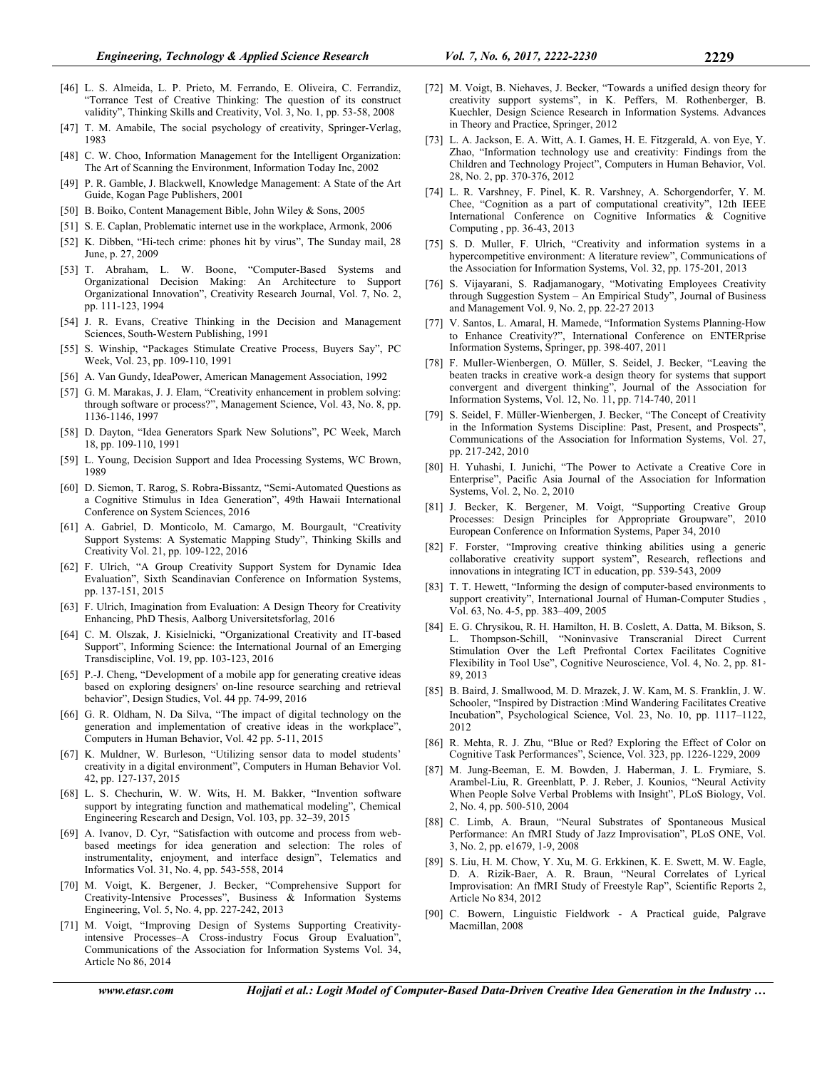- [46] L. S. Almeida, L. P. Prieto, M. Ferrando, E. Oliveira, C. Ferrandiz, "Torrance Test of Creative Thinking: The question of its construct validity", Thinking Skills and Creativity, Vol. 3, No. 1, pp. 53-58, 2008
- [47] T. M. Amabile, The social psychology of creativity, Springer-Verlag, 1983
- [48] C. W. Choo, Information Management for the Intelligent Organization: The Art of Scanning the Environment, Information Today Inc, 2002
- [49] P. R. Gamble, J. Blackwell, Knowledge Management: A State of the Art Guide, Kogan Page Publishers, 2001
- [50] B. Boiko, Content Management Bible, John Wiley & Sons, 2005
- [51] S. E. Caplan, Problematic internet use in the workplace, Armonk, 2006
- [52] K. Dibben, "Hi-tech crime: phones hit by virus", The Sunday mail, 28 June, p. 27, 2009
- [53] T. Abraham, L. W. Boone, "Computer-Based Systems and Organizational Decision Making: An Architecture to Support Organizational Innovation", Creativity Research Journal, Vol. 7, No. 2, pp. 111-123, 1994
- [54] J. R. Evans, Creative Thinking in the Decision and Management Sciences, South-Western Publishing, 1991
- [55] S. Winship, "Packages Stimulate Creative Process, Buyers Say", PC Week, Vol. 23, pp. 109-110, 1991
- [56] A. Van Gundy, IdeaPower, American Management Association, 1992
- [57] G. M. Marakas, J. J. Elam, "Creativity enhancement in problem solving: through software or process?", Management Science, Vol. 43, No. 8, pp. 1136-1146, 1997
- [58] D. Dayton, "Idea Generators Spark New Solutions", PC Week, March 18, pp. 109-110, 1991
- [59] L. Young, Decision Support and Idea Processing Systems, WC Brown, 1989
- [60] D. Siemon, T. Rarog, S. Robra-Bissantz, "Semi-Automated Questions as a Cognitive Stimulus in Idea Generation", 49th Hawaii International Conference on System Sciences, 2016
- [61] A. Gabriel, D. Monticolo, M. Camargo, M. Bourgault, "Creativity Support Systems: A Systematic Mapping Study", Thinking Skills and Creativity Vol. 21, pp. 109-122, 2016
- [62] F. Ulrich, "A Group Creativity Support System for Dynamic Idea Evaluation", Sixth Scandinavian Conference on Information Systems, pp. 137-151, 2015
- [63] F. Ulrich, Imagination from Evaluation: A Design Theory for Creativity Enhancing, PhD Thesis, Aalborg Universitetsforlag, 2016
- [64] C. M. Olszak, J. Kisielnicki, "Organizational Creativity and IT-based Support", Informing Science: the International Journal of an Emerging Transdiscipline, Vol. 19, pp. 103-123, 2016
- [65] P.-J. Cheng, "Development of a mobile app for generating creative ideas based on exploring designers' on-line resource searching and retrieval behavior", Design Studies, Vol. 44 pp. 74-99, 2016
- [66] G. R. Oldham, N. Da Silva, "The impact of digital technology on the generation and implementation of creative ideas in the workplace", Computers in Human Behavior, Vol. 42 pp. 5-11, 2015
- [67] K. Muldner, W. Burleson, "Utilizing sensor data to model students' creativity in a digital environment", Computers in Human Behavior Vol. 42, pp. 127-137, 2015
- [68] L. S. Chechurin, W. W. Wits, H. M. Bakker, "Invention software support by integrating function and mathematical modeling", Chemical Engineering Research and Design, Vol. 103, pp. 32–39, 2015
- [69] A. Ivanov, D. Cyr, "Satisfaction with outcome and process from webbased meetings for idea generation and selection: The roles of instrumentality, enjoyment, and interface design", Telematics and Informatics Vol. 31, No. 4, pp. 543-558, 2014
- [70] M. Voigt, K. Bergener, J. Becker, "Comprehensive Support for Creativity-Intensive Processes", Business & Information Systems Engineering, Vol. 5, No. 4, pp. 227-242, 2013
- [71] M. Voigt, "Improving Design of Systems Supporting Creativityintensive Processes–A Cross-industry Focus Group Evaluation", Communications of the Association for Information Systems Vol. 34, Article No 86, 2014
- [72] M. Voigt, B. Niehaves, J. Becker, "Towards a unified design theory for creativity support systems", in K. Peffers, M. Rothenberger, B. Kuechler, Design Science Research in Information Systems. Advances in Theory and Practice, Springer, 2012
- [73] L. A. Jackson, E. A. Witt, A. I. Games, H. E. Fitzgerald, A. von Eye, Y. Zhao, "Information technology use and creativity: Findings from the Children and Technology Project", Computers in Human Behavior, Vol. 28, No. 2, pp. 370-376, 2012
- [74] L. R. Varshney, F. Pinel, K. R. Varshney, A. Schorgendorfer, Y. M. Chee, "Cognition as a part of computational creativity", 12th IEEE International Conference on Cognitive Informatics & Cognitive Computing , pp. 36-43, 2013
- [75] S. D. Muller, F. Ulrich, "Creativity and information systems in a hypercompetitive environment: A literature review", Communications of the Association for Information Systems, Vol. 32, pp. 175-201, 2013
- [76] S. Vijayarani, S. Radjamanogary, "Motivating Employees Creativity through Suggestion System – An Empirical Study", Journal of Business and Management Vol. 9, No. 2, pp. 22-27 2013
- [77] V. Santos, L. Amaral, H. Mamede, "Information Systems Planning-How to Enhance Creativity?", International Conference on ENTERprise Information Systems, Springer, pp. 398-407, 2011
- [78] F. Muller-Wienbergen, O. Müller, S. Seidel, J. Becker, "Leaving the beaten tracks in creative work-a design theory for systems that support convergent and divergent thinking", Journal of the Association for Information Systems, Vol. 12, No. 11, pp. 714-740, 2011
- [79] S. Seidel, F. Müller-Wienbergen, J. Becker, "The Concept of Creativity in the Information Systems Discipline: Past, Present, and Prospects", Communications of the Association for Information Systems, Vol. 27, pp. 217-242, 2010
- [80] H. Yuhashi, I. Junichi, "The Power to Activate a Creative Core in Enterprise", Pacific Asia Journal of the Association for Information Systems, Vol. 2, No. 2, 2010
- [81] J. Becker, K. Bergener, M. Voigt, "Supporting Creative Group Processes: Design Principles for Appropriate Groupware", 2010 European Conference on Information Systems, Paper 34, 2010
- [82] F. Forster, "Improving creative thinking abilities using a generic collaborative creativity support system", Research, reflections and innovations in integrating ICT in education, pp. 539-543, 2009
- [83] T. T. Hewett, "Informing the design of computer-based environments to support creativity", International Journal of Human-Computer Studies , Vol. 63, No. 4-5, pp. 383–409, 2005
- [84] E. G. Chrysikou, R. H. Hamilton, H. B. Coslett, A. Datta, M. Bikson, S. L. Thompson-Schill, "Noninvasive Transcranial Direct Current Stimulation Over the Left Prefrontal Cortex Facilitates Cognitive Flexibility in Tool Use", Cognitive Neuroscience, Vol. 4, No. 2, pp. 81- 89, 2013
- [85] B. Baird, J. Smallwood, M. D. Mrazek, J. W. Kam, M. S. Franklin, J. W. Schooler, "Inspired by Distraction :Mind Wandering Facilitates Creative Incubation", Psychological Science, Vol. 23, No. 10, pp. 1117–1122, 2012
- [86] R. Mehta, R. J. Zhu, "Blue or Red? Exploring the Effect of Color on Cognitive Task Performances", Science, Vol. 323, pp. 1226-1229, 2009
- [87] M. Jung-Beeman, E. M. Bowden, J. Haberman, J. L. Frymiare, S. Arambel-Liu, R. Greenblatt, P. J. Reber, J. Kounios, "Neural Activity When People Solve Verbal Problems with Insight", PLoS Biology, Vol. 2, No. 4, pp. 500-510, 2004
- [88] C. Limb, A. Braun, "Neural Substrates of Spontaneous Musical Performance: An fMRI Study of Jazz Improvisation", PLoS ONE, Vol. 3, No. 2, pp. e1679, 1-9, 2008
- [89] S. Liu, H. M. Chow, Y. Xu, M. G. Erkkinen, K. E. Swett, M. W. Eagle, D. A. Rizik-Baer, A. R. Braun, "Neural Correlates of Lyrical Improvisation: An fMRI Study of Freestyle Rap", Scientific Reports 2, Article No 834, 2012
- [90] C. Bowern, Linguistic Fieldwork A Practical guide, Palgrave Macmillan, 2008